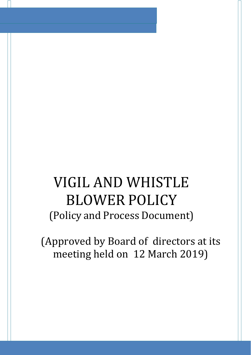# VIGIL AND WHISTLE BLOWER POLICY (Policy and Process Document)

(Approved by Board of directors at its meeting held on 12 March 2019)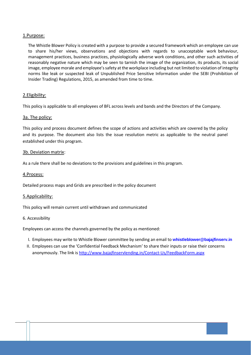## 1.Purpose:

The Whistle Blower Policy is created with a purpose to provide a secured framework which an employee can use to share his/her views, observations and objections with regards to unacceptable work behaviour, management practices, business practices, physiologically adverse work conditions, and other such activities of reasonably negative nature which may be seen to tarnish the image of the organization, its products, its social image, employee morale and employee's safety at the workplace including but not limited to violation of integrity norms like leak or suspected leak of Unpublished Price Sensitive Information under the SEBI (Prohibition of Insider Trading) Regulations, 2015, as amended from time to time.

## 2.Eligibility:

This policy is applicable to all employees of BFL across levels and bands and the Directors of the Company.

## 3a. The policy:

This policy and process document defines the scope of actions and activities which are covered by the policy and its purpose. The document also lists the issue resolution metric as applicable to the neutral panel established under this program.

### 3b. Deviation matrix:

As a rule there shall be no deviations to the provisions and guidelines in this program.

### 4.Process:

Detailed process maps and Grids are prescribed in the policy document

### 5.Applicability:

This policy will remain current until withdrawn and communicated

#### 6. Accessibility

Employees can access the channels governed by the policy as mentioned:

- I. Employees may write to Whistle Blower committee by sending an email to **[whistleblower@bajajfinserv.in](mailto:whistleblower@bajajfinserv.in)**
- II. Employees can use the 'Confidential Feedback Mechanism' to share their inputs or raise their concerns anonymously. The link is <http://www.bajajfinservlending.in/Contact-Us/FeedbackForm.aspx>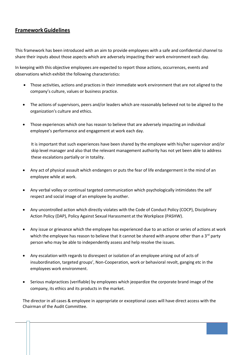## **FrameworkGuidelines**

This framework has been introduced with an aim to provide employees with a safe and confidential channel to share their inputs about those aspects which are adversely impacting their work environment each day.

In keeping with this objective employees are expected to report those actions, occurrences, events and observations which exhibit the following characteristics:

- Those activities, actions and practices in their immediate work environment that are not aligned to the company's culture, values or business practice.
- The actions of supervisors, peers and/or leaders which are reasonably believed not to be aligned to the organization's culture and ethics.
- Those experiences which one has reason to believe that are adversely impacting an individual employee's performance and engagement at work each day.

It is important that such experiences have been shared by the employee with his/her supervisor and/or skip level manager and also that the relevant management authority has not yet been able to address these escalations partially or in totality.

- Any act of physical assault which endangers or puts the fear of life endangerment in the mind of an employee while at work.
- Any verbal volley or continual targeted communication which psychologically intimidates the self respect and social image of an employee by another.
- Any uncontrolled action which directly violates with the Code of Conduct Policy (COCP), Disciplinary Action Policy (DAP), Policy Against Sexual Harassment at the Workplace (PASHW).
- Any issue or grievance which the employee has experienced due to an action or series of actions at work which the employee has reason to believe that it cannot be shared with anyone other than a 3<sup>rd</sup> party person who may be able to independently assess and help resolve the issues.
- Any escalation with regards to disrespect or isolation of an employee arising out of acts of insubordination, targeted groups', Non-Cooperation, work or behavioral revolt, ganging etc in the employees work environment.
- Serious malpractices (verifiable) by employees which jeopardize the corporate brand image of the company, its ethics and its products in the market.

The director in all cases & employee in appropriate or exceptional cases will have direct access with the Chairman of the Audit Committee.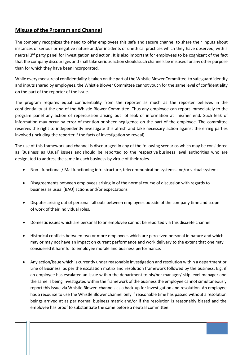## **Misuse of the Program and Channel**

The company recognizes the need to offer employees this safe and secure channel to share their inputs about instances of serious or negative nature and/or incidents of unethical practices which they have observed, with a neutral 3<sup>rd</sup> party panel for investigation and action. It is also important for employees to be cognizant of the fact that the company discourages and shall take serious action should such channels be misused for any other purpose than for which they have been incorporated.

While every measure of confidentiality istaken on the part of the Whistle Blower Committee to safe guard identity and inputs shared by employees, the Whistle Blower Committee cannot vouch for the same level of confidentiality on the part of the reporter of the issue.

The program requires equal confidentiality from the reporter as much as the reporter believes in the confidentiality at the end of the Whistle Blower Committee. Thus any employee can report immediately to the program panel any action of repercussion arising out of leak of information at his/her end. Such leak of information may occur by error of mention or sheer negligence on the part of the employee. The committee reserves the right to independently investigate this afresh and take necessary action against the erring parties involved (including the reporter if the facts of investigation so reveal).

The use of this framework and channel is discouraged in any of the following scenarios which may be considered as 'Business as Usual' issues and should be reported to the respective business level authorities who are designated to address the same in each business by virtue of their roles.

- Non functional / Mal functioning infrastructure, telecommunication systems and/or virtual systems
- Disagreements between employees arising in of the normal course of discussion with regards to business as usual (BAU) actions and/or expectations
- Disputes arising out of personal fall outs between employees outside of the company time and scope of work of their individual roles.
- Domestic issues which are personal to an employee cannot be reported via this discrete channel
- Historical conflicts between two or more employees which are perceived personal in nature and which may or may not have an impact on current performance and work delivery to the extent that one may considered it harmful to employee morale and business performance.
- Any action/issue which is currently under reasonable investigation and resolution within a department or Line of Business. as per the escalation matrix and resolution framework followed by the business. E.g. if an employee has escalated an issue within the department to his/her manager/ skip level manager and the same is being investigated within the framework of the businessthe employee cannot simultaneously report this issue via Whistle Blower channels as a back-up for investigation and resolution. An employee has a recourse to use the Whistle Blower channel only if reasonable time has passed without a resolution beings arrived at as per normal business matrix and/or if the resolution is reasonably biased and the employee has proof to substantiate the same before a neutral committee.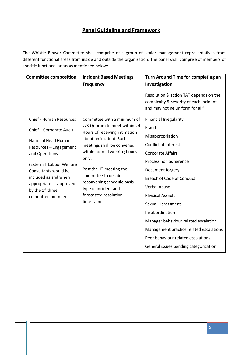## **Panel Guideline and Framework**

The Whistle Blower Committee shall comprise of a group of senior management representatives from different functional areas from inside and outside the organization. The panel shall comprise of members of specific functional areas as mentioned below:

| <b>Committee composition</b>                                                                                                                                                                                                | <b>Incident Based Meetings</b>                                                                                                                                                                                                                 | Turn Around Time for completing an                                                                                  |
|-----------------------------------------------------------------------------------------------------------------------------------------------------------------------------------------------------------------------------|------------------------------------------------------------------------------------------------------------------------------------------------------------------------------------------------------------------------------------------------|---------------------------------------------------------------------------------------------------------------------|
|                                                                                                                                                                                                                             | <b>Frequency</b>                                                                                                                                                                                                                               | Investigation                                                                                                       |
|                                                                                                                                                                                                                             |                                                                                                                                                                                                                                                | Resolution & action TAT depends on the<br>complexity & severity of each incident<br>and may not ne uniform for all" |
| <b>Chief - Human Resources</b>                                                                                                                                                                                              | Committee with a minimum of                                                                                                                                                                                                                    | <b>Financial Irregularity</b>                                                                                       |
| Chief - Corporate Audit                                                                                                                                                                                                     | 2/3 Quorum to meet within 24<br>Hours of receiving intimation                                                                                                                                                                                  | Fraud                                                                                                               |
|                                                                                                                                                                                                                             | about an incident. Such<br>meetings shall be convened<br>within normal working hours<br>only.<br>Post the $1st$ meeting the<br>committee to decide<br>reconvening schedule basis<br>type of incident and<br>forecasted resolution<br>timeframe | Misappropriation                                                                                                    |
| National Head Human<br>Resources - Engagement<br>and Operations<br>(External Labour Welfare<br>Consultants would be<br>included as and when<br>appropriate as approved<br>by the 1 <sup>st</sup> three<br>committee members |                                                                                                                                                                                                                                                | <b>Conflict of Interest</b>                                                                                         |
|                                                                                                                                                                                                                             |                                                                                                                                                                                                                                                | <b>Corporate Affairs</b>                                                                                            |
|                                                                                                                                                                                                                             |                                                                                                                                                                                                                                                | Process non adherence                                                                                               |
|                                                                                                                                                                                                                             |                                                                                                                                                                                                                                                | Document forgery                                                                                                    |
|                                                                                                                                                                                                                             |                                                                                                                                                                                                                                                | <b>Breach of Code of Conduct</b>                                                                                    |
|                                                                                                                                                                                                                             |                                                                                                                                                                                                                                                | <b>Verbal Abuse</b>                                                                                                 |
|                                                                                                                                                                                                                             |                                                                                                                                                                                                                                                | <b>Physical Assault</b>                                                                                             |
|                                                                                                                                                                                                                             |                                                                                                                                                                                                                                                | <b>Sexual Harassment</b>                                                                                            |
|                                                                                                                                                                                                                             |                                                                                                                                                                                                                                                | Insubordination                                                                                                     |
|                                                                                                                                                                                                                             |                                                                                                                                                                                                                                                | Manager behaviour related escalation                                                                                |
|                                                                                                                                                                                                                             |                                                                                                                                                                                                                                                | Management practice related escalations                                                                             |
|                                                                                                                                                                                                                             |                                                                                                                                                                                                                                                | Peer behaviour related escalations                                                                                  |
|                                                                                                                                                                                                                             |                                                                                                                                                                                                                                                | General issues pending categorization                                                                               |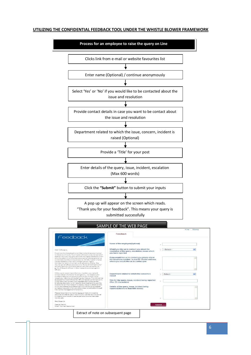#### **UTILIZING THE CONFIDENTIAL FEEDBACK TOOL UNDER THE WHISTLE BLOWER FRAMEWORK**

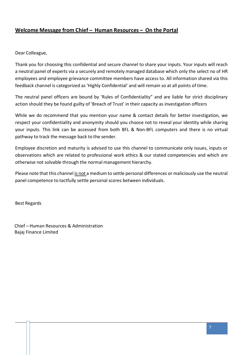## **Welcome Message from Chief – Human Resources – On the Portal**

Dear Colleague,

Thank you for choosing this confidential and secure channel to share your inputs. Your inputs will reach a neutral panel of experts via a securely and remotely managed database which only the select no of HR employees and employee grievance committee members have access to. All information shared via this feedback channel is categorized as 'Highly Confidential' and will remain so at all points of time.

The neutral panel officers are bound by 'Rules of Confidentiality" and are liable for strict disciplinary action should they be found guilty of 'Breach of Trust' in their capacity as investigation officers

While we do recommend that you mention your name & contact details for better investigation, we respect your confidentiality and anonymity should you choose not to reveal your identity while sharing your inputs. This link can be accessed from both BFL & Non-BFL computers and there is no virtual pathway to track the message back to the sender.

Employee discretion and maturity is advised to use this channel to communicate only issues, inputs or observations which are related to professional work ethics & our stated competencies and which are otherwise not solvable through the normal management hierarchy.

Please note that this channel is not a medium to settle personal differences or maliciously use the neutral panel competence to tactfully settle personal scores between individuals.

Best Regards

Chief – Human Resources & Administration Bajaj Finance Limited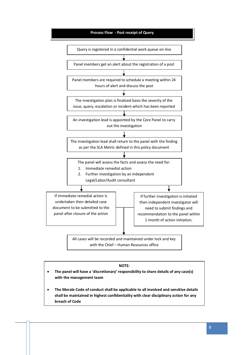

#### **NOTE:**

- **The panel will have a 'discretionary' responsibility to share details of any case(s) with the management team**
- **The Morale Code of conduct shall be applicable to all involved and sensitive details shall be maintained in highest confidentiality with clear disciplinary action for any breach of Code**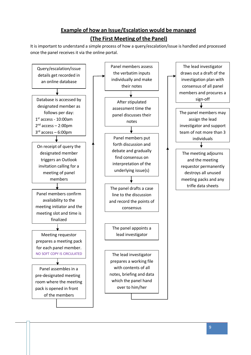## **Example of how an Issue/Escalation would be managed (The First Meeting of the Panel)**

It is important to understand a simple process of how a query/escalation/issue is handled and processed once the panel receives it via the online portal.